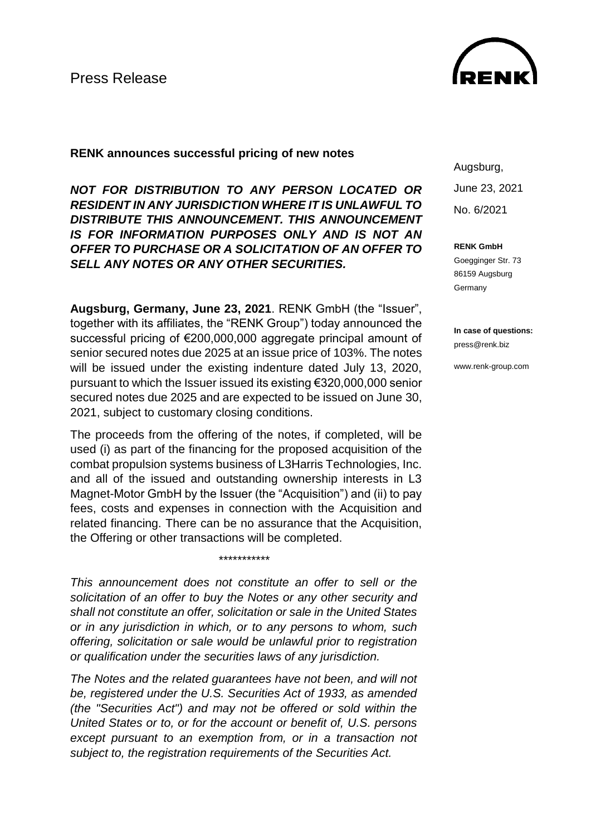

## **RENK announces successful pricing of new notes**

*NOT FOR DISTRIBUTION TO ANY PERSON LOCATED OR RESIDENT IN ANY JURISDICTION WHERE IT IS UNLAWFUL TO DISTRIBUTE THIS ANNOUNCEMENT. THIS ANNOUNCEMENT IS FOR INFORMATION PURPOSES ONLY AND IS NOT AN OFFER TO PURCHASE OR A SOLICITATION OF AN OFFER TO SELL ANY NOTES OR ANY OTHER SECURITIES.*

**Augsburg, Germany, June 23, 2021**. RENK GmbH (the "Issuer", together with its affiliates, the "RENK Group") today announced the successful pricing of €200,000,000 aggregate principal amount of senior secured notes due 2025 at an issue price of 103%. The notes will be issued under the existing indenture dated July 13, 2020, pursuant to which the Issuer issued its existing €320,000,000 senior secured notes due 2025 and are expected to be issued on June 30, 2021, subject to customary closing conditions.

The proceeds from the offering of the notes, if completed, will be used (i) as part of the financing for the proposed acquisition of the combat propulsion systems business of L3Harris Technologies, Inc. and all of the issued and outstanding ownership interests in L3 Magnet-Motor GmbH by the Issuer (the "Acquisition") and (ii) to pay fees, costs and expenses in connection with the Acquisition and related financing. There can be no assurance that the Acquisition, the Offering or other transactions will be completed.

*\*\*\*\*\*\*\*\*\*\*\**

*This announcement does not constitute an offer to sell or the solicitation of an offer to buy the Notes or any other security and shall not constitute an offer, solicitation or sale in the United States or in any jurisdiction in which, or to any persons to whom, such offering, solicitation or sale would be unlawful prior to registration or qualification under the securities laws of any jurisdiction.*

*The Notes and the related guarantees have not been, and will not be, registered under the U.S. Securities Act of 1933, as amended (the "Securities Act") and may not be offered or sold within the United States or to, or for the account or benefit of, U.S. persons except pursuant to an exemption from, or in a transaction not subject to, the registration requirements of the Securities Act.*

Augsburg, June 23, 2021 No. 6/2021

**RENK GmbH**

Goegginger Str. 73 86159 Augsburg **Germany** 

**In case of questions:** press@renk.biz

www.renk-group.com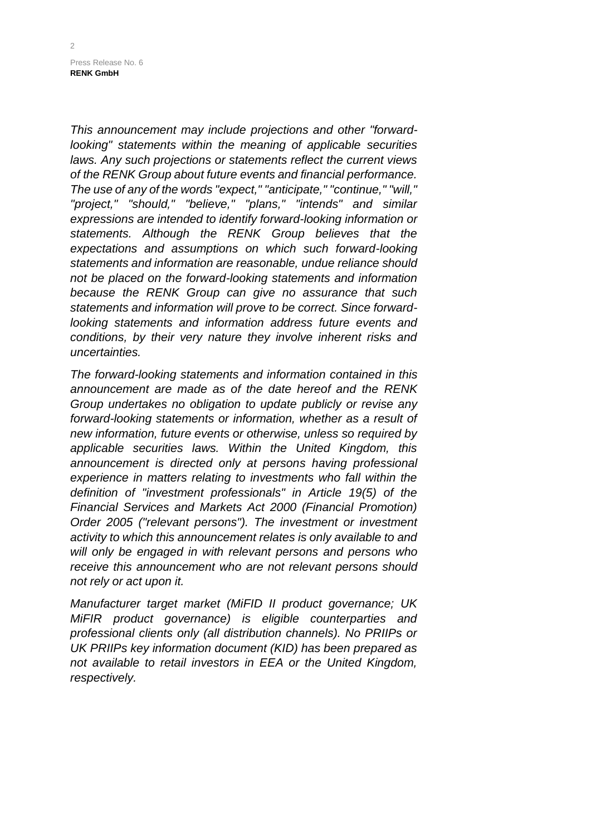Press Release No. 6 **RENK GmbH**

*This announcement may include projections and other "forwardlooking" statements within the meaning of applicable securities laws. Any such projections or statements reflect the current views of the RENK Group about future events and financial performance. The use of any of the words "expect," "anticipate," "continue," "will," "project," "should," "believe," "plans," "intends" and similar expressions are intended to identify forward-looking information or statements. Although the RENK Group believes that the expectations and assumptions on which such forward-looking statements and information are reasonable, undue reliance should not be placed on the forward-looking statements and information because the RENK Group can give no assurance that such statements and information will prove to be correct. Since forwardlooking statements and information address future events and conditions, by their very nature they involve inherent risks and uncertainties.*

*The forward-looking statements and information contained in this announcement are made as of the date hereof and the RENK Group undertakes no obligation to update publicly or revise any forward-looking statements or information, whether as a result of new information, future events or otherwise, unless so required by applicable securities laws. Within the United Kingdom, this announcement is directed only at persons having professional experience in matters relating to investments who fall within the definition of "investment professionals" in Article 19(5) of the Financial Services and Markets Act 2000 (Financial Promotion) Order 2005 ("relevant persons"). The investment or investment activity to which this announcement relates is only available to and will only be engaged in with relevant persons and persons who receive this announcement who are not relevant persons should not rely or act upon it.*

*Manufacturer target market (MiFID II product governance; UK MiFIR product governance) is eligible counterparties and professional clients only (all distribution channels). No PRIIPs or UK PRIIPs key information document (KID) has been prepared as not available to retail investors in EEA or the United Kingdom, respectively.*